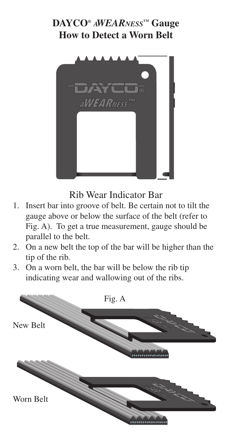## **DAYCO®** *AWEARNESS***™ Gauge How to Detect a Worn Belt**



Rib Wear Indicator Bar

- 1. Insert bar into groove of belt. Be certain not to tilt the gauge above or below the surface of the belt (refer to Fig. A). To get a true measurement, gauge should be parallel to the belt.
- 2. On a new belt the top of the bar will be higher than the tip of the rib.
- 3. On a worn belt, the bar will be below the rib tip indicating wear and wallowing out of the ribs.